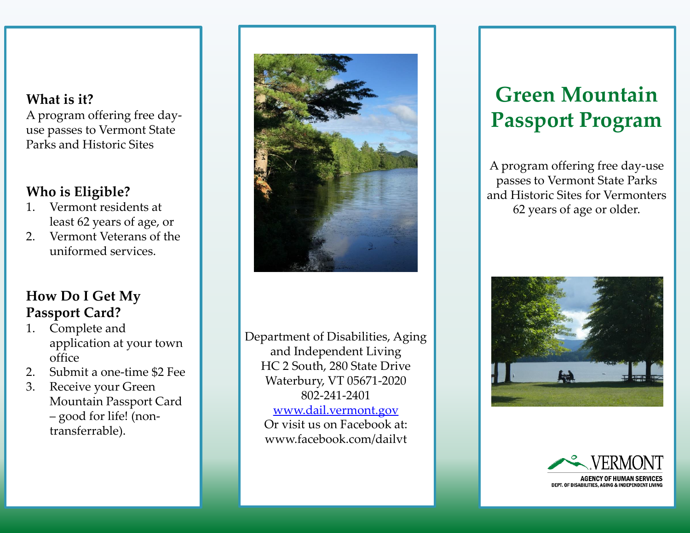## **What is it?**

A program offering free dayuse passes to Vermont State Parks and Historic Sites

#### **Who is Eligible?**

- 1. Vermont residents at least 62 years of age, or
- 2. Vermont Veterans of the uniformed services.

### **How Do I Get My Passport Card?**

- 1. Complete and application at your town office
- 2. Submit a one-time \$2 Fee
- 3. Receive your Green Mountain Passport Card – good for life! (nontransferrable).



Department of Disabilities, Aging and Independent Living HC 2 South, 280 State Drive Waterbury, VT 05671-2020 802-241-2401 [www.dail.vermont.gov](http://www.dail.vermont.gov/) Or visit us on Facebook at: www.facebook.com/dailvt

# **Green Mountain Passport Program**

A program offering free day-use passes to Vermont State Parks and Historic Sites for Vermonters 62 years of age or older.